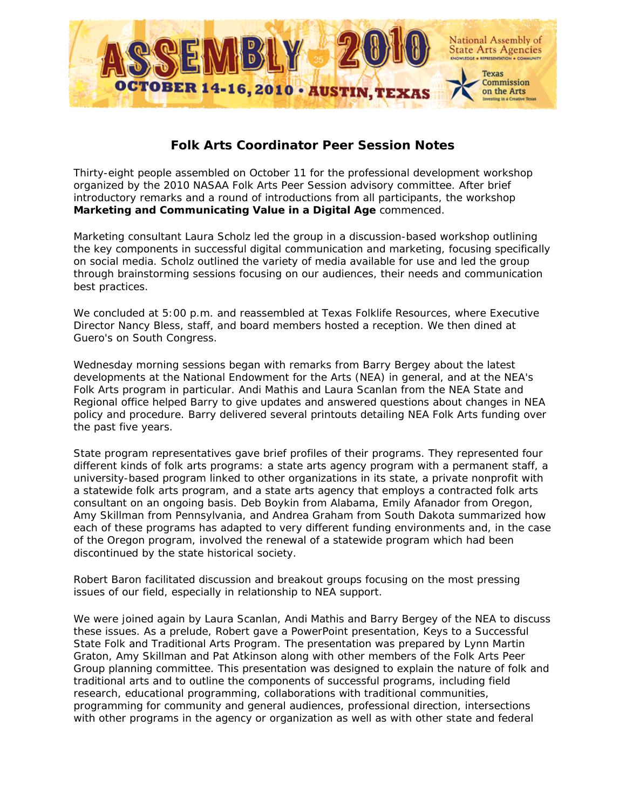

## **Folk Arts Coordinator Peer Session Notes**

Thirty-eight people assembled on October 11 for the professional development workshop organized by the 2010 NASAA Folk Arts Peer Session advisory committee. After brief introductory remarks and a round of introductions from all participants, the workshop **Marketing and Communicating Value in a Digital Age** commenced.

Marketing consultant Laura Scholz led the group in a discussion-based workshop outlining the key components in successful digital communication and marketing, focusing specifically on social media. Scholz outlined the variety of media available for use and led the group through brainstorming sessions focusing on our audiences, their needs and communication best practices.

We concluded at 5:00 p.m. and reassembled at Texas Folklife Resources, where Executive Director Nancy Bless, staff, and board members hosted a reception. We then dined at Guero's on South Congress.

Wednesday morning sessions began with remarks from Barry Bergey about the latest developments at the National Endowment for the Arts (NEA) in general, and at the NEA's Folk Arts program in particular. Andi Mathis and Laura Scanlan from the NEA State and Regional office helped Barry to give updates and answered questions about changes in NEA policy and procedure. Barry delivered several printouts detailing NEA Folk Arts funding over the past five years.

State program representatives gave brief profiles of their programs. They represented four different kinds of folk arts programs: a state arts agency program with a permanent staff, a university-based program linked to other organizations in its state, a private nonprofit with a statewide folk arts program, and a state arts agency that employs a contracted folk arts consultant on an ongoing basis. Deb Boykin from Alabama, Emily Afanador from Oregon, Amy Skillman from Pennsylvania, and Andrea Graham from South Dakota summarized how each of these programs has adapted to very different funding environments and, in the case of the Oregon program, involved the renewal of a statewide program which had been discontinued by the state historical society.

Robert Baron facilitated discussion and breakout groups focusing on the most pressing issues of our field, especially in relationship to NEA support.

We were joined again by Laura Scanlan, Andi Mathis and Barry Bergey of the NEA to discuss these issues. As a prelude, Robert gave a PowerPoint presentation, Keys to a Successful State Folk and Traditional Arts Program. The presentation was prepared by Lynn Martin Graton, Amy Skillman and Pat Atkinson along with other members of the Folk Arts Peer Group planning committee. This presentation was designed to explain the nature of folk and traditional arts and to outline the components of successful programs, including field research, educational programming, collaborations with traditional communities, programming for community and general audiences, professional direction, intersections with other programs in the agency or organization as well as with other state and federal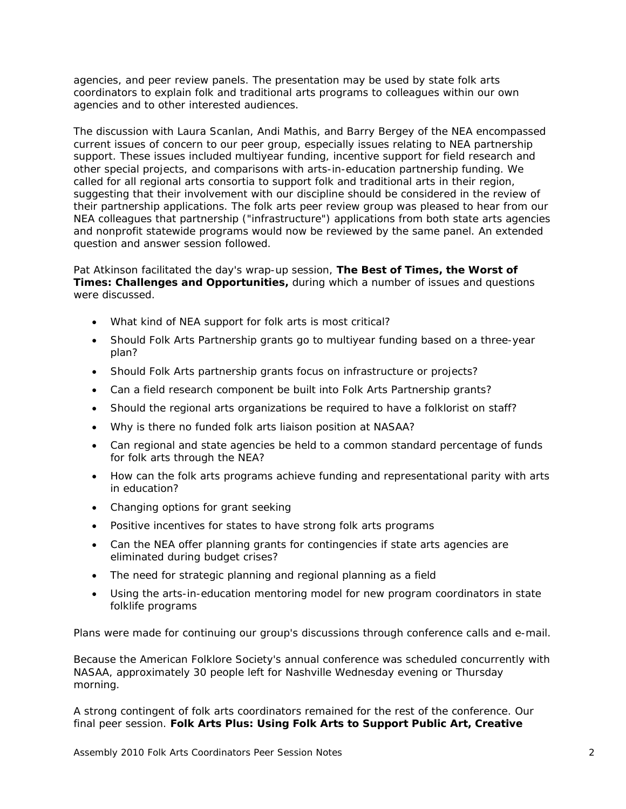agencies, and peer review panels. The presentation may be used by state folk arts coordinators to explain folk and traditional arts programs to colleagues within our own agencies and to other interested audiences.

The discussion with Laura Scanlan, Andi Mathis, and Barry Bergey of the NEA encompassed current issues of concern to our peer group, especially issues relating to NEA partnership support. These issues included multiyear funding, incentive support for field research and other special projects, and comparisons with arts-in-education partnership funding. We called for all regional arts consortia to support folk and traditional arts in their region, suggesting that their involvement with our discipline should be considered in the review of their partnership applications. The folk arts peer review group was pleased to hear from our NEA colleagues that partnership ("infrastructure") applications from both state arts agencies and nonprofit statewide programs would now be reviewed by the same panel. An extended question and answer session followed.

Pat Atkinson facilitated the day's wrap-up session, **The Best of Times, the Worst of Times: Challenges and Opportunities,** during which a number of issues and questions were discussed.

- What kind of NEA support for folk arts is most critical?
- Should Folk Arts Partnership grants go to multiyear funding based on a three-year plan?
- Should Folk Arts partnership grants focus on infrastructure or projects?
- Can a field research component be built into Folk Arts Partnership grants?
- Should the regional arts organizations be required to have a folklorist on staff?
- Why is there no funded folk arts liaison position at NASAA?
- Can regional and state agencies be held to a common standard percentage of funds for folk arts through the NEA?
- How can the folk arts programs achieve funding and representational parity with arts in education?
- Changing options for grant seeking
- Positive incentives for states to have strong folk arts programs
- Can the NEA offer planning grants for contingencies if state arts agencies are eliminated during budget crises?
- The need for strategic planning and regional planning as a field
- Using the arts-in-education mentoring model for new program coordinators in state folklife programs

Plans were made for continuing our group's discussions through conference calls and e-mail.

Because the American Folklore Society's annual conference was scheduled concurrently with NASAA, approximately 30 people left for Nashville Wednesday evening or Thursday morning.

A strong contingent of folk arts coordinators remained for the rest of the conference. Our final peer session. **Folk Arts Plus: Using Folk Arts to Support Public Art, Creative**